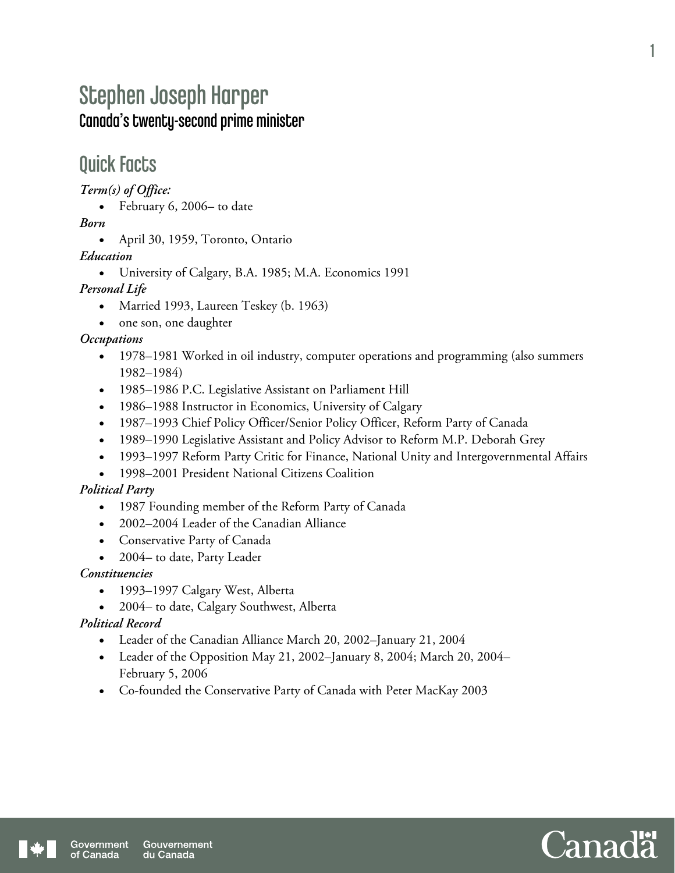# Stephen Joseph Harper Canada's twenty-second prime minister

### Quick Facts

*Term(s) of Office:* 

• February 6, 2006– to date

*Born* 

April 30, 1959, Toronto, Ontario

#### *Education*

University of Calgary, B.A. 1985; M.A. Economics 1991

#### *Personal Life*

- Married 1993, Laureen Teskey (b. 1963)
- one son, one daughter

#### *Occupations*

- 1978–1981 Worked in oil industry, computer operations and programming (also summers 1982–1984)
- 1985–1986 P.C. Legislative Assistant on Parliament Hill
- 1986–1988 Instructor in Economics, University of Calgary
- 1987–1993 Chief Policy Officer/Senior Policy Officer, Reform Party of Canada
- 1989–1990 Legislative Assistant and Policy Advisor to Reform M.P. Deborah Grey
- 1993–1997 Reform Party Critic for Finance, National Unity and Intergovernmental Affairs
- 1998–2001 President National Citizens Coalition

#### *Political Party*

- 1987 Founding member of the Reform Party of Canada
- 2002–2004 Leader of the Canadian Alliance
- Conservative Party of Canada
- 2004– to date, Party Leader

#### *Constituencies*

- 1993–1997 Calgary West, Alberta
- 2004– to date, Calgary Southwest, Alberta

#### *Political Record*

- Leader of the Canadian Alliance March 20, 2002–January 21, 2004
- Leader of the Opposition May 21, 2002–January 8, 2004; March 20, 2004– February 5, 2006
- Co-founded the Conservative Party of Canada with Peter MacKay 2003



1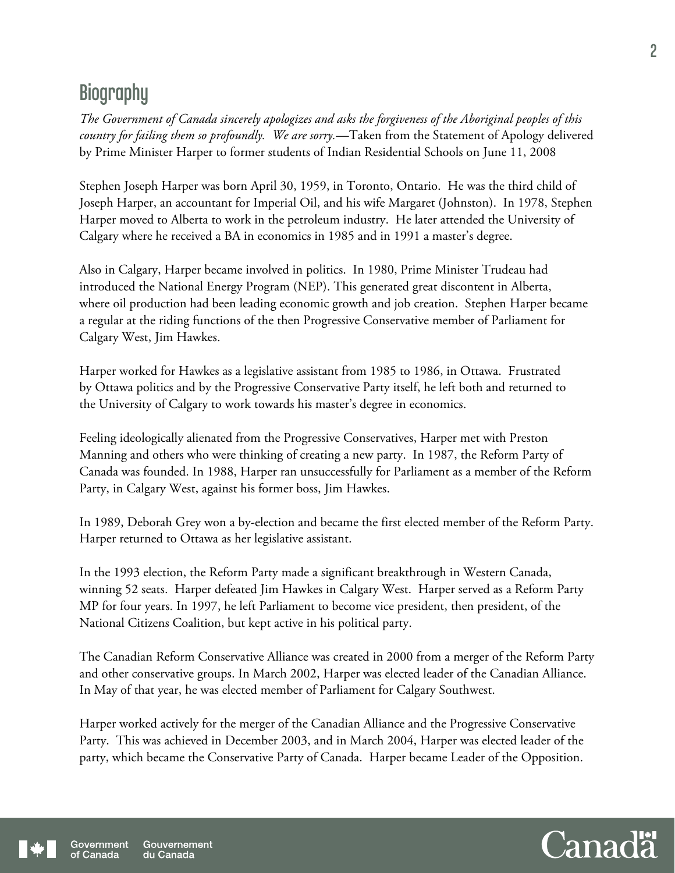# **Biography**

*The Government of Canada sincerely apologizes and asks the forgiveness of the Aboriginal peoples of this country for failing them so profoundly. We are sorry.*—Taken from the Statement of Apology delivered by Prime Minister Harper to former students of Indian Residential Schools on June 11, 2008

Stephen Joseph Harper was born April 30, 1959, in Toronto, Ontario. He was the third child of Joseph Harper, an accountant for Imperial Oil, and his wife Margaret (Johnston). In 1978, Stephen Harper moved to Alberta to work in the petroleum industry. He later attended the University of Calgary where he received a BA in economics in 1985 and in 1991 a master's degree.

Also in Calgary, Harper became involved in politics. In 1980, Prime Minister Trudeau had introduced the National Energy Program (NEP). This generated great discontent in Alberta, where oil production had been leading economic growth and job creation. Stephen Harper became a regular at the riding functions of the then Progressive Conservative member of Parliament for Calgary West, Jim Hawkes.

Harper worked for Hawkes as a legislative assistant from 1985 to 1986, in Ottawa. Frustrated by Ottawa politics and by the Progressive Conservative Party itself, he left both and returned to the University of Calgary to work towards his master's degree in economics.

Feeling ideologically alienated from the Progressive Conservatives, Harper met with Preston Manning and others who were thinking of creating a new party. In 1987, the Reform Party of Canada was founded. In 1988, Harper ran unsuccessfully for Parliament as a member of the Reform Party, in Calgary West, against his former boss, Jim Hawkes.

In 1989, Deborah Grey won a by-election and became the first elected member of the Reform Party. Harper returned to Ottawa as her legislative assistant.

In the 1993 election, the Reform Party made a significant breakthrough in Western Canada, winning 52 seats. Harper defeated Jim Hawkes in Calgary West. Harper served as a Reform Party MP for four years. In 1997, he left Parliament to become vice president, then president, of the National Citizens Coalition, but kept active in his political party.

The Canadian Reform Conservative Alliance was created in 2000 from a merger of the Reform Party and other conservative groups. In March 2002, Harper was elected leader of the Canadian Alliance. In May of that year, he was elected member of Parliament for Calgary Southwest.

Harper worked actively for the merger of the Canadian Alliance and the Progressive Conservative Party. This was achieved in December 2003, and in March 2004, Harper was elected leader of the party, which became the Conservative Party of Canada. Harper became Leader of the Opposition.



2

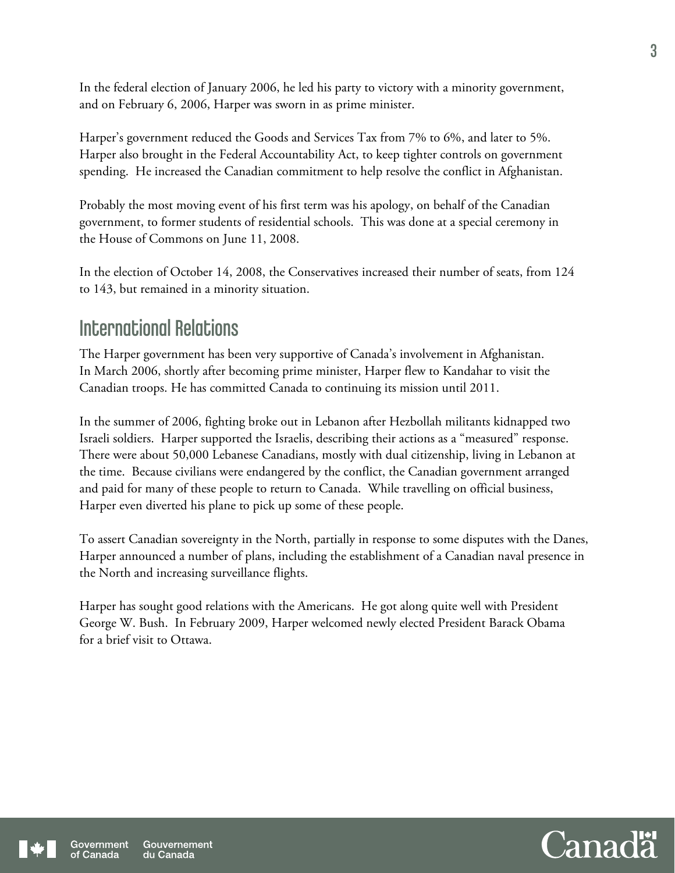In the federal election of January 2006, he led his party to victory with a minority government, and on February 6, 2006, Harper was sworn in as prime minister.

Harper's government reduced the Goods and Services Tax from 7% to 6%, and later to 5%. Harper also brought in the Federal Accountability Act, to keep tighter controls on government spending. He increased the Canadian commitment to help resolve the conflict in Afghanistan.

Probably the most moving event of his first term was his apology, on behalf of the Canadian government, to former students of residential schools. This was done at a special ceremony in the House of Commons on June 11, 2008.

In the election of October 14, 2008, the Conservatives increased their number of seats, from 124 to 143, but remained in a minority situation.

### International Relations

The Harper government has been very supportive of Canada's involvement in Afghanistan. In March 2006, shortly after becoming prime minister, Harper flew to Kandahar to visit the Canadian troops. He has committed Canada to continuing its mission until 2011.

In the summer of 2006, fighting broke out in Lebanon after Hezbollah militants kidnapped two Israeli soldiers. Harper supported the Israelis, describing their actions as a "measured" response. There were about 50,000 Lebanese Canadians, mostly with dual citizenship, living in Lebanon at the time. Because civilians were endangered by the conflict, the Canadian government arranged and paid for many of these people to return to Canada. While travelling on official business, Harper even diverted his plane to pick up some of these people.

To assert Canadian sovereignty in the North, partially in response to some disputes with the Danes, Harper announced a number of plans, including the establishment of a Canadian naval presence in the North and increasing surveillance flights.

Harper has sought good relations with the Americans. He got along quite well with President George W. Bush. In February 2009, Harper welcomed newly elected President Barack Obama for a brief visit to Ottawa.